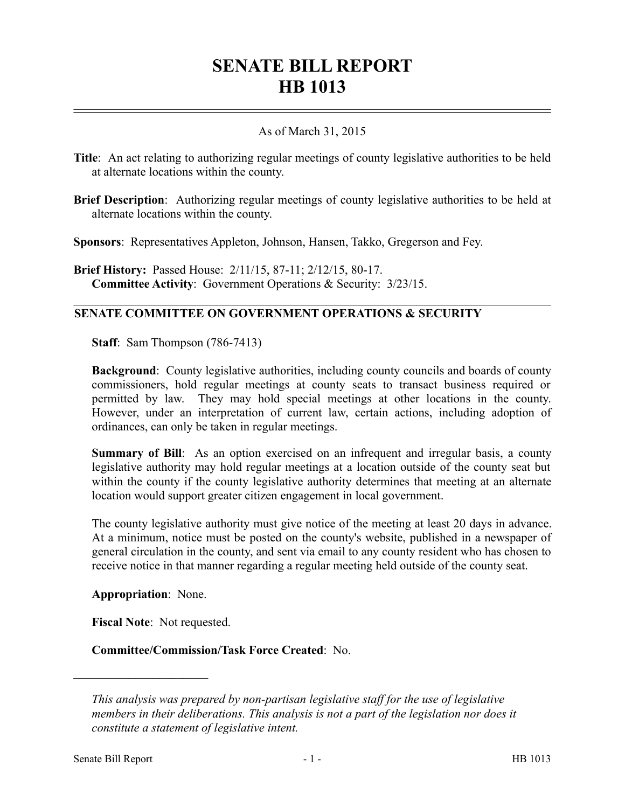## **SENATE BILL REPORT HB 1013**

## As of March 31, 2015

**Title**: An act relating to authorizing regular meetings of county legislative authorities to be held at alternate locations within the county.

**Brief Description**: Authorizing regular meetings of county legislative authorities to be held at alternate locations within the county.

**Sponsors**: Representatives Appleton, Johnson, Hansen, Takko, Gregerson and Fey.

**Brief History:** Passed House: 2/11/15, 87-11; 2/12/15, 80-17. **Committee Activity**: Government Operations & Security: 3/23/15.

## **SENATE COMMITTEE ON GOVERNMENT OPERATIONS & SECURITY**

**Staff**: Sam Thompson (786-7413)

**Background**: County legislative authorities, including county councils and boards of county commissioners, hold regular meetings at county seats to transact business required or permitted by law. They may hold special meetings at other locations in the county. However, under an interpretation of current law, certain actions, including adoption of ordinances, can only be taken in regular meetings.

**Summary of Bill**: As an option exercised on an infrequent and irregular basis, a county legislative authority may hold regular meetings at a location outside of the county seat but within the county if the county legislative authority determines that meeting at an alternate location would support greater citizen engagement in local government.

The county legislative authority must give notice of the meeting at least 20 days in advance. At a minimum, notice must be posted on the county's website, published in a newspaper of general circulation in the county, and sent via email to any county resident who has chosen to receive notice in that manner regarding a regular meeting held outside of the county seat.

**Appropriation**: None.

––––––––––––––––––––––

**Fiscal Note**: Not requested.

**Committee/Commission/Task Force Created**: No.

*This analysis was prepared by non-partisan legislative staff for the use of legislative members in their deliberations. This analysis is not a part of the legislation nor does it constitute a statement of legislative intent.*